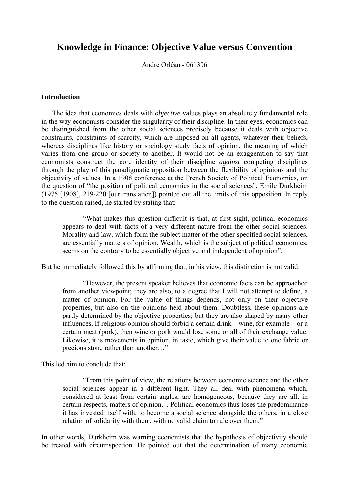# **Knowledge in Finance: Objective Value versus Convention**

André Orléan - 061306

# **Introduction**

 The idea that economics deals with *objective* values plays an absolutely fundamental role in the way economists consider the singularity of their discipline. In their eyes, economics can be distinguished from the other social sciences precisely because it deals with objective constraints, constraints of scarcity, which are imposed on all agents, whatever their beliefs, whereas disciplines like history or sociology study facts of opinion, the meaning of which varies from one group or society to another. It would not be an exaggeration to say that economists construct the core identity of their discipline *against* competing disciplines through the play of this paradigmatic opposition between the flexibility of opinions and the objectivity of values. In a 1908 conference at the French Society of Political Economics, on the question of "the position of political economics in the social sciences", Émile Durkheim (1975 [1908], 219-220 [our translation]) pointed out all the limits of this opposition. In reply to the question raised, he started by stating that:

 "What makes this question difficult is that, at first sight, political economics appears to deal with facts of a very different nature from the other social sciences. Morality and law, which form the subject matter of the other specified social sciences, are essentially matters of opinion. Wealth, which is the subject of political economics, seems on the contrary to be essentially objective and independent of opinion".

But he immediately followed this by affirming that, in his view, this distinction is not valid:

"However, the present speaker believes that economic facts can be approached from another viewpoint; they are also, to a degree that I will not attempt to define, a matter of opinion. For the value of things depends, not only on their objective properties, but also on the opinions held about them. Doubtless, these opinions are partly determined by the objective properties; but they are also shaped by many other influences. If religious opinion should forbid a certain drink – wine, for example – or a certain meat (pork), then wine or pork would lose some or all of their exchange value. Likewise, it is movements in opinion, in taste, which give their value to one fabric or precious stone rather than another…"

This led him to conclude that:

 "From this point of view, the relations between economic science and the other social sciences appear in a different light. They all deal with phenomena which, considered at least from certain angles, are homogeneous, because they are all, in certain respects, matters of opinion… Political economics thus loses the predominance it has invested itself with, to become a social science alongside the others, in a close relation of solidarity with them, with no valid claim to rule over them."

In other words, Durkheim was warning economists that the hypothesis of objectivity should be treated with circumspection. He pointed out that the determination of many economic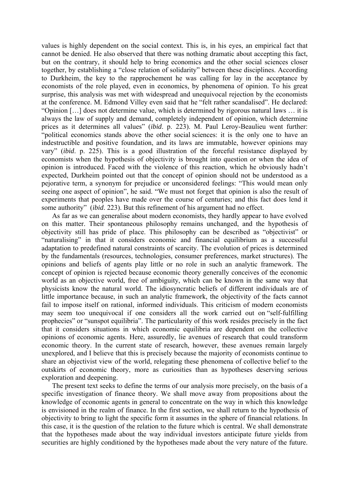values is highly dependent on the social context. This is, in his eyes, an empirical fact that cannot be denied. He also observed that there was nothing dramatic about accepting this fact, but on the contrary, it should help to bring economics and the other social sciences closer together, by establishing a "close relation of solidarity" between these disciplines. According to Durkheim, the key to the rapprochement he was calling for lay in the acceptance by economists of the role played, even in economics, by phenomena of opinion. To his great surprise, this analysis was met with widespread and unequivocal rejection by the economists at the conference. M. Edmond Villey even said that he "felt rather scandalised". He declared: "Opinion […] does not determine value, which is determined by rigorous natural laws … it is always the law of supply and demand, completely independent of opinion, which determine prices as it determines all values" (*ibid*. p. 223). M. Paul Leroy-Beaulieu went further: "political economics stands above the other social sciences: it is the only one to have an indestructible and positive foundation, and its laws are immutable, however opinions may vary" (*ibid*. p. 225). This is a good illustration of the forceful resistance displayed by economists when the hypothesis of objectivity is brought into question or when the idea of opinion is introduced. Faced with the violence of this reaction, which he obviously hadn't expected, Durkheim pointed out that the concept of opinion should not be understood as a pejorative term, a synonym for prejudice or unconsidered feelings: "This would mean only seeing one aspect of opinion", he said. "We must not forget that opinion is also the result of experiments that peoples have made over the course of centuries; and this fact does lend it some authority" (*ibid*. 223). But this refinement of his argument had no effect.

 As far as we can generalise about modern economists, they hardly appear to have evolved on this matter. Their spontaneous philosophy remains unchanged, and the hypothesis of objectivity still has pride of place. This philosophy can be described as "objectivist" or "naturalising" in that it considers economic and financial equilibrium as a successful adaptation to predefined natural constraints of scarcity. The evolution of prices is determined by the fundamentals (resources, technologies, consumer preferences, market structures). The opinions and beliefs of agents play little or no role in such an analytic framework. The concept of opinion is rejected because economic theory generally conceives of the economic world as an objective world, free of ambiguity, which can be known in the same way that physicists know the natural world. The idiosyncratic beliefs of different individuals are of little importance because, in such an analytic framework, the objectivity of the facts cannot fail to impose itself on rational, informed individuals. This criticism of modern economists may seem too unequivocal if one considers all the work carried out on "self-fulfilling prophecies" or "sunspot equilibria". The particularity of this work resides precisely in the fact that it considers situations in which economic equilibria are dependent on the collective opinions of economic agents. Here, assuredly, lie avenues of research that could transform economic theory. In the current state of research, however, these avenues remain largely unexplored, and I believe that this is precisely because the majority of economists continue to share an objectivist view of the world, relegating these phenomena of collective belief to the outskirts of economic theory, more as curiosities than as hypotheses deserving serious exploration and deepening.

 The present text seeks to define the terms of our analysis more precisely, on the basis of a specific investigation of finance theory. We shall move away from propositions about the knowledge of economic agents in general to concentrate on the way in which this knowledge is envisioned in the realm of finance. In the first section, we shall return to the hypothesis of objectivity to bring to light the specific form it assumes in the sphere of financial relations. In this case, it is the question of the relation to the future which is central. We shall demonstrate that the hypotheses made about the way individual investors anticipate future yields from securities are highly conditioned by the hypotheses made about the very nature of the future.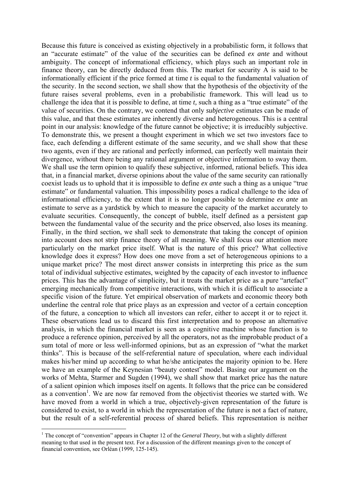Because this future is conceived as existing objectively in a probabilistic form, it follows that an "accurate estimate" of the value of the securities can be defined *ex ante* and without ambiguity. The concept of informational efficiency, which plays such an important role in finance theory, can be directly deduced from this. The market for security A is said to be informationally efficient if the price formed at time *t* is equal to the fundamental valuation of the security. In the second section, we shall show that the hypothesis of the objectivity of the future raises several problems, even in a probabilistic framework. This will lead us to challenge the idea that it is possible to define, at time *t,* such a thing as a "true estimate" of the value of securities. On the contrary, we contend that only *subjective* estimates can be made of this value, and that these estimates are inherently diverse and heterogeneous. This is a central point in our analysis: knowledge of the future cannot be objective; it is irreducibly subjective. To demonstrate this, we present a thought experiment in which we set two investors face to face, each defending a different estimate of the same security, and we shall show that these two agents, even if they are rational and perfectly informed, can perfectly well maintain their divergence, without there being any rational argument or objective information to sway them. We shall use the term opinion to qualify these subjective, informed, rational beliefs. This idea that, in a financial market, diverse opinions about the value of the same security can rationally coexist leads us to uphold that it is impossible to define *ex ante* such a thing as a unique "true estimate" or fundamental valuation. This impossibility poses a radical challenge to the idea of informational efficiency, to the extent that it is no longer possible to determine *ex ante* an estimate to serve as a yardstick by which to measure the capacity of the market accurately to evaluate securities. Consequently, the concept of bubble, itself defined as a persistent gap between the fundamental value of the security and the price observed, also loses its meaning. Finally, in the third section, we shall seek to demonstrate that taking the concept of opinion into account does not strip finance theory of all meaning. We shall focus our attention more particularly on the market price itself. What is the nature of this price? What collective knowledge does it express? How does one move from a set of heterogeneous opinions to a unique market price? The most direct answer consists in interpreting this price as the sum total of individual subjective estimates, weighted by the capacity of each investor to influence prices. This has the advantage of simplicity, but it treats the market price as a pure "artefact" emerging mechanically from competitive interactions, with which it is difficult to associate a specific vision of the future. Yet empirical observation of markets and economic theory both underline the central role that price plays as an expression and vector of a certain conception of the future, a conception to which all investors can refer, either to accept it or to reject it. These observations lead us to discard this first interpretation and to propose an alternative analysis, in which the financial market is seen as a cognitive machine whose function is to produce a reference opinion, perceived by all the operators, not as the improbable product of a sum total of more or less well-informed opinions, but as an expression of "what the market thinks". This is because of the self-referential nature of speculation, where each individual makes his/her mind up according to what he/she anticipates the majority opinion to be. Here we have an example of the Keynesian "beauty contest" model. Basing our argument on the works of Mehta, Starmer and Sugden (1994), we shall show that market price has the nature of a salient opinion which imposes itself on agents. It follows that the price can be considered as a convention<sup>1</sup>. We are now far removed from the objectivist theories we started with. We have moved from a world in which a true, objectively-given representation of the future is considered to exist, to a world in which the representation of the future is not a fact of nature, but the result of a self-referential process of shared beliefs. This representation is neither

1

<sup>&</sup>lt;sup>1</sup> The concept of "convention" appears in Chapter 12 of the *General Theory*, but with a slightly different meaning to that used in the present text. For a discussion of the different meanings given to the concept of financial convention, see Orléan (1999, 125-145).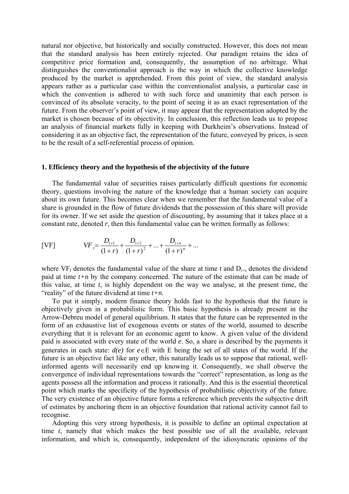natural nor objective, but historically and socially constructed. However, this does not mean that the standard analysis has been entirely rejected. Our paradigm retains the idea of competitive price formation and, consequently, the assumption of no arbitrage. What distinguishes the conventionalist approach is the way in which the collective knowledge produced by the market is apprehended. From this point of view, the standard analysis appears rather as a particular case within the conventionalist analysis, a particular case in which the convention is adhered to with such force and unanimity that each person is convinced of its absolute veracity, to the point of seeing it as an exact representation of the future. From the observer's point of view, it may appear that the representation adopted by the market is chosen because of its objectivity. In conclusion, this reflection leads us to propose an analysis of financial markets fully in keeping with Durkheim's observations. Instead of considering it as an objective fact, the representation of the future, conveyed by prices, is seen to be the result of a self-referential process of opinion.

# **1. Efficiency theory and the hypothesis of the objectivity of the future**

 The fundamental value of securities raises particularly difficult questions for economic theory, questions involving the nature of the knowledge that a human society can acquire about its own future. This becomes clear when we remember that the fundamental value of a share is grounded in the flow of future dividends that the possession of this share will provide for its owner. If we set aside the question of discounting, by assuming that it takes place at a constant rate, denoted *r*, then this fundamental value can be written formally as follows:

[VF] 
$$
VF_i = \frac{D_{i+1}}{(1+r)} + \frac{D_{i+2}}{(1+r)^2} + ... + \frac{D_{i+n}}{(1+r)^n} + ...
$$

where  $VF_t$  denotes the fundamental value of the share at time *t* and  $D_{t+n}$  denotes the dividend paid at time *t+n* by the company concerned. The nature of the estimate that can be made of this value, at time *t*, is highly dependent on the way we analyse, at the present time, the "reality" of the future dividend at time *t+n*.

 To put it simply, modern finance theory holds fast to the hypothesis that the future is objectively given in a probabilistic form. This basic hypothesis is already present in the Arrow-Debreu model of general equilibrium. It states that the future can be represented in the form of an exhaustive list of exogenous events or states of the world, assumed to describe everything that it is relevant for an economic agent to know. A given value of the dividend paid is associated with every state of the world *e*. So, a share is described by the payments it generates in each state: *d(e)* for *e*∈E with E being the set of all states of the world. If the future is an objective fact like any other, this naturally leads us to suppose that rational, wellinformed agents will necessarily end up knowing it. Consequently, we shall observe the convergence of individual representations towards the "correct" representation, as long as the agents possess all the information and process it rationally. And this is the essential theoretical point which marks the specificity of the hypothesis of probabilistic objectivity of the future. The very existence of an objective future forms a reference which prevents the subjective drift of estimates by anchoring them in an objective foundation that rational activity cannot fail to recognise.

 Adopting this very strong hypothesis, it is possible to define an optimal expectation at time *t*, namely that which makes the best possible use of all the available, relevant information, and which is, consequently, independent of the idiosyncratic opinions of the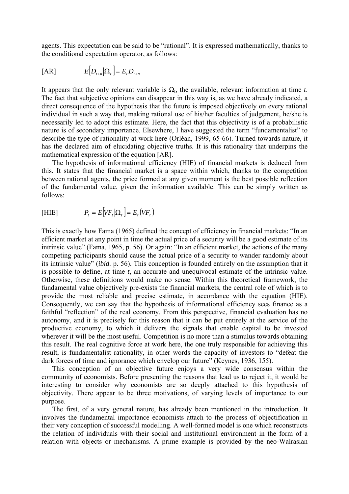agents. This expectation can be said to be "rational". It is expressed mathematically, thanks to the conditional expectation operator, as follows:

$$
[AR] \t E[D_{t+n}|\Omega_t] = E_t D_{t+n}
$$

It appears that the only relevant variable is  $\Omega_t$ , the available, relevant information at time *t*. The fact that subjective opinions can disappear in this way is, as we have already indicated, a direct consequence of the hypothesis that the future is imposed objectively on every rational individual in such a way that, making rational use of his/her faculties of judgement, he/she is necessarily led to adopt this estimate. Here, the fact that this objectivity is of a probabilistic nature is of secondary importance. Elsewhere, I have suggested the term "fundamentalist" to describe the type of rationality at work here (Orléan, 1999, 65-66). Turned towards nature, it has the declared aim of elucidating objective truths. It is this rationality that underpins the mathematical expression of the equation [AR].

 The hypothesis of informational efficiency (HIE) of financial markets is deduced from this. It states that the financial market is a space within which, thanks to the competition between rational agents, the price formed at any given moment is the best possible reflection of the fundamental value, given the information available. This can be simply written as follows:

[**HIE**] 
$$
P_t = E[VF_t | \Omega_t] = E_t(VF_t)
$$

This is exactly how Fama (1965) defined the concept of efficiency in financial markets: "In an efficient market at any point in time the actual price of a security will be a good estimate of its intrinsic value" (Fama, 1965, p. 56). Or again: "In an efficient market, the actions of the many competing participants should cause the actual price of a security to wander randomly about its intrinsic value" (*ibid*. p. 56). This conception is founded entirely on the assumption that it is possible to define, at time *t*, an accurate and unequivocal estimate of the intrinsic value. Otherwise, these definitions would make no sense. Within this theoretical framework, the fundamental value objectively pre-exists the financial markets, the central role of which is to provide the most reliable and precise estimate, in accordance with the equation (HIE). Consequently, we can say that the hypothesis of informational efficiency sees finance as a faithful "reflection" of the real economy. From this perspective, financial evaluation has no autonomy, and it is precisely for this reason that it can be put entirely at the service of the productive economy, to which it delivers the signals that enable capital to be invested wherever it will be the most useful. Competition is no more than a stimulus towards obtaining this result. The real cognitive force at work here, the one truly responsible for achieving this result, is fundamentalist rationality, in other words the capacity of investors to "defeat the dark forces of time and ignorance which envelop our future" (Keynes, 1936, 155).

 This conception of an objective future enjoys a very wide consensus within the community of economists. Before presenting the reasons that lead us to reject it, it would be interesting to consider why economists are so deeply attached to this hypothesis of objectivity. There appear to be three motivations, of varying levels of importance to our purpose.

 The first, of a very general nature, has already been mentioned in the introduction. It involves the fundamental importance economists attach to the process of objectification in their very conception of successful modelling. A well-formed model is one which reconstructs the relation of individuals with their social and institutional environment in the form of a relation with objects or mechanisms. A prime example is provided by the neo-Walrasian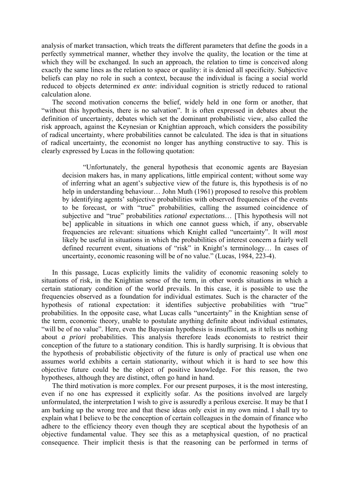analysis of market transaction, which treats the different parameters that define the goods in a perfectly symmetrical manner, whether they involve the quality, the location or the time at which they will be exchanged. In such an approach, the relation to time is conceived along exactly the same lines as the relation to space or quality: it is denied all specificity. Subjective beliefs can play no role in such a context, because the individual is facing a social world reduced to objects determined *ex ante*: individual cognition is strictly reduced to rational calculation alone.

 The second motivation concerns the belief, widely held in one form or another, that "without this hypothesis, there is no salvation". It is often expressed in debates about the definition of uncertainty, debates which set the dominant probabilistic view, also called the risk approach, against the Keynesian or Knightian approach, which considers the possibility of radical uncertainty, where probabilities cannot be calculated. The idea is that in situations of radical uncertainty, the economist no longer has anything constructive to say. This is clearly expressed by Lucas in the following quotation:

 "Unfortunately, the general hypothesis that economic agents are Bayesian decision makers has, in many applications, little empirical content; without some way of inferring what an agent's subjective view of the future is, this hypothesis is of no help in understanding behaviour… John Muth (1961) proposed to resolve this problem by identifying agents' subjective probabilities with observed frequencies of the events to be forecast, or with "true" probabilities, calling the assumed coincidence of subjective and "true" probabilities *rational expectations*… [This hypothesis will not bel applicable in situations in which one cannot guess which, if any, observable frequencies are relevant: situations which Knight called "uncertainty". It will *most* likely be useful in situations in which the probabilities of interest concern a fairly well defined recurrent event, situations of "risk" in Knight's terminology… In cases of uncertainty, economic reasoning will be of no value." (Lucas, 1984, 223-4).

 In this passage, Lucas explicitly limits the validity of economic reasoning solely to situations of risk, in the Knightian sense of the term, in other words situations in which a certain stationary condition of the world prevails. In this case, it is possible to use the frequencies observed as a foundation for individual estimates. Such is the character of the hypothesis of rational expectation: it identifies subjective probabilities with "true" probabilities. In the opposite case, what Lucas calls "uncertainty" in the Knightian sense of the term, economic theory, unable to postulate anything definite about individual estimates, "will be of no value". Here, even the Bayesian hypothesis is insufficient, as it tells us nothing about *a priori* probabilities. This analysis therefore leads economists to restrict their conception of the future to a stationary condition. This is hardly surprising. It is obvious that the hypothesis of probabilistic objectivity of the future is only of practical use when one assumes world exhibits a certain stationarity, without which it is hard to see how this objective future could be the object of positive knowledge. For this reason, the two hypotheses, although they are distinct, often go hand in hand.

 The third motivation is more complex. For our present purposes, it is the most interesting, even if no one has expressed it explicitly sofar. As the positions involved are largely unformulated, the interpretation I wish to give is assuredly a perilous exercise. It may be that I am barking up the wrong tree and that these ideas only exist in my own mind. I shall try to explain what I believe to be the conception of certain colleagues in the domain of finance who adhere to the efficiency theory even though they are sceptical about the hypothesis of an objective fundamental value. They see this as a metaphysical question, of no practical consequence. Their implicit thesis is that the reasoning can be performed in terms of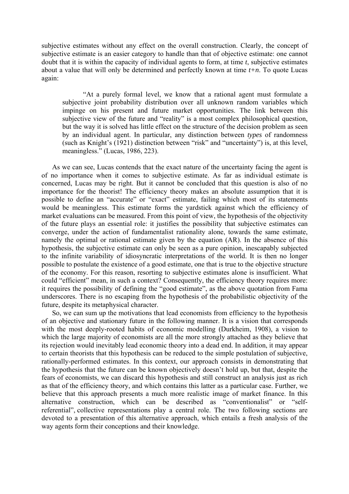subjective estimates without any effect on the overall construction. Clearly, the concept of subjective estimate is an easier category to handle than that of objective estimate: one cannot doubt that it is within the capacity of individual agents to form, at time *t*, subjective estimates about a value that will only be determined and perfectly known at time *t+n*. To quote Lucas again:

 "At a purely formal level, we know that a rational agent must formulate a subjective joint probability distribution over all unknown random variables which impinge on his present and future market opportunities. The link between this subjective view of the future and "reality" is a most complex philosophical question, but the way it is solved has little effect on the structure of the decision problem as seen by an individual agent. In particular, any distinction between *types* of randomness (such as Knight's (1921) distinction between "risk" and "uncertainty") is, at this level, meaningless." (Lucas, 1986, 223).

 As we can see, Lucas contends that the exact nature of the uncertainty facing the agent is of no importance when it comes to subjective estimate. As far as individual estimate is concerned, Lucas may be right. But it cannot be concluded that this question is also of no importance for the theorist! The efficiency theory makes an absolute assumption that it is possible to define an "accurate" or "exact" estimate, failing which most of its statements would be meaningless. This estimate forms the yardstick against which the efficiency of market evaluations can be measured. From this point of view, the hypothesis of the objectivity of the future plays an essential role: it justifies the possibility that subjective estimates can converge, under the action of fundamentalist rationality alone, towards the same estimate, namely the optimal or rational estimate given by the equation (AR). In the absence of this hypothesis, the subjective estimate can only be seen as a pure opinion, inescapably subjected to the infinite variability of idiosyncratic interpretations of the world. It is then no longer possible to postulate the existence of a good estimate, one that is true to the objective structure of the economy. For this reason, resorting to subjective estimates alone is insufficient. What could "efficient" mean, in such a context? Consequently, the efficiency theory requires more: it requires the possibility of defining the "good estimate", as the above quotation from Fama underscores. There is no escaping from the hypothesis of the probabilistic objectivity of the future, despite its metaphysical character.

 So, we can sum up the motivations that lead economists from efficiency to the hypothesis of an objective and stationary future in the following manner. It is a vision that corresponds with the most deeply-rooted habits of economic modelling (Durkheim, 1908), a vision to which the large majority of economists are all the more strongly attached as they believe that its rejection would inevitably lead economic theory into a dead end. In addition, it may appear to certain theorists that this hypothesis can be reduced to the simple postulation of subjective, rationally-performed estimates. In this context, our approach consists in demonstrating that the hypothesis that the future can be known objectively doesn't hold up, but that, despite the fears of economists, we can discard this hypothesis and still construct an analysis just as rich as that of the efficiency theory, and which contains this latter as a particular case. Further, we believe that this approach presents a much more realistic image of market finance. In this alternative construction, which can be described as "conventionalist" or "selfreferential", collective representations play a central role. The two following sections are devoted to a presentation of this alternative approach, which entails a fresh analysis of the way agents form their conceptions and their knowledge.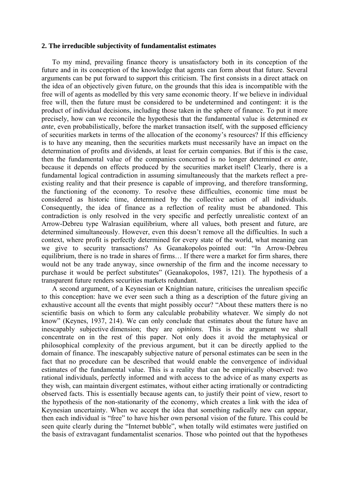#### **2. The irreducible subjectivity of fundamentalist estimates**

 To my mind, prevailing finance theory is unsatisfactory both in its conception of the future and in its conception of the knowledge that agents can form about that future. Several arguments can be put forward to support this criticism. The first consists in a direct attack on the idea of an objectively given future, on the grounds that this idea is incompatible with the free will of agents as modelled by this very same economic theory. If we believe in individual free will, then the future must be considered to be undetermined and contingent: it is the product of individual decisions, including those taken in the sphere of finance. To put it more precisely, how can we reconcile the hypothesis that the fundamental value is determined *ex ante*, even probabilistically, before the market transaction itself, with the supposed efficiency of securities markets in terms of the allocation of the economy's resources? If this efficiency is to have any meaning, then the securities markets must necessarily have an impact on the determination of profits and dividends, at least for certain companies. But if this is the case, then the fundamental value of the companies concerned is no longer determined *ex ante*, because it depends on effects produced by the securities market itself! Clearly, there is a fundamental logical contradiction in assuming simultaneously that the markets reflect a preexisting reality and that their presence is capable of improving, and therefore transforming, the functioning of the economy. To resolve these difficulties, economic time must be considered as historic time, determined by the collective action of all individuals. Consequently, the idea of finance as a reflection of reality must be abandoned. This contradiction is only resolved in the very specific and perfectly unrealistic context of an Arrow-Debreu type Walrasian equilibrium, where all values, both present and future, are determined simultaneously. However, even this doesn't remove all the difficulties. In such a context, where profit is perfectly determined for every state of the world, what meaning can we give to security transactions? As Geanakopolos pointed out: "In Arrow-Debreu equilibrium, there is no trade in shares of firms… If there were a market for firm shares, there would not be any trade anyway, since ownership of the firm and the income necessary to purchase it would be perfect substitutes" (Geanakopolos, 1987, 121). The hypothesis of a transparent future renders securities markets redundant.

 A second argument, of a Keynesian or Knightian nature, criticises the unrealism specific to this conception: have we ever seen such a thing as a description of the future giving an exhaustive account all the events that might possibly occur? "About these matters there is no scientific basis on which to form any calculable probability whatever. We simply do not know" (Keynes, 1937, 214). We can only conclude that estimates about the future have an inescapably subjective dimension; they are *opinions*. This is the argument we shall concentrate on in the rest of this paper. Not only does it avoid the metaphysical or philosophical complexity of the previous argument, but it can be directly applied to the domain of finance. The inescapably subjective nature of personal estimates can be seen in the fact that no procedure can be described that would enable the convergence of individual estimates of the fundamental value. This is a reality that can be empirically observed: two rational individuals, perfectly informed and with access to the advice of as many experts as they wish, can maintain divergent estimates, without either acting irrationally or contradicting observed facts. This is essentially because agents can, to justify their point of view, resort to the hypothesis of the non-stationarity of the economy, which creates a link with the idea of Keynesian uncertainty. When we accept the idea that something radically new can appear, then each individual is "free" to have his/her own personal vision of the future. This could be seen quite clearly during the "Internet bubble", when totally wild estimates were justified on the basis of extravagant fundamentalist scenarios. Those who pointed out that the hypotheses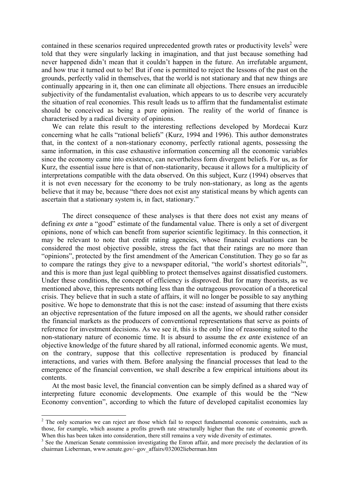contained in these scenarios required unprecedented growth rates or productivity levels<sup>2</sup> were told that they were singularly lacking in imagination, and that just because something had never happened didn't mean that it couldn't happen in the future. An irrefutable argument, and how true it turned out to be! But if one is permitted to reject the lessons of the past on the grounds, perfectly valid in themselves, that the world is not stationary and that new things are continually appearing in it, then one can eliminate all objections. There ensues an irreducible subjectivity of the fundamentalist evaluation, which appears to us to describe very accurately the situation of real economies. This result leads us to affirm that the fundamentalist estimate should be conceived as being a pure opinion. The reality of the world of finance is characterised by a radical diversity of opinions.

 We can relate this result to the interesting reflections developed by Mordecai Kurz concerning what he calls "rational beliefs" (Kurz, 1994 and 1996). This author demonstrates that, in the context of a non-stationary economy, perfectly rational agents, possessing the same information, in this case exhaustive information concerning all the economic variables since the economy came into existence, can nevertheless form divergent beliefs. For us, as for Kurz, the essential issue here is that of non-stationarity, because it allows for a multiplicity of interpretations compatible with the data observed. On this subject, Kurz (1994) observes that it is not even necessary for the economy to be truly non-stationary, as long as the agents believe that it may be, because "there does not exist any statistical means by which agents can ascertain that a stationary system is, in fact, stationary."

The direct consequence of these analyses is that there does not exist any means of defining *ex ante* a "good" estimate of the fundamental value. There is only a set of divergent opinions, none of which can benefit from superior scientific legitimacy. In this connection, it may be relevant to note that credit rating agencies, whose financial evaluations can be considered the most objective possible, stress the fact that their ratings are no more than "opinions", protected by the first amendment of the American Constitution. They go so far as to compare the ratings they give to a newspaper editorial, "the world's shortest editorials<sup>3</sup>", and this is more than just legal quibbling to protect themselves against dissatisfied customers. Under these conditions, the concept of efficiency is disproved. But for many theorists, as we mentioned above, this represents nothing less than the outrageous provocation of a theoretical crisis. They believe that in such a state of affairs, it will no longer be possible to say anything positive. We hope to demonstrate that this is not the case: instead of assuming that there exists an objective representation of the future imposed on all the agents, we should rather consider the financial markets as the producers of conventional representations that serve as points of reference for investment decisions. As we see it, this is the only line of reasoning suited to the non-stationary nature of economic time. It is absurd to assume the *ex ante* existence of an objective knowledge of the future shared by all rational, informed economic agents. We must, on the contrary, suppose that this collective representation is produced by financial interactions, and varies with them. Before analysing the financial processes that lead to the emergence of the financial convention, we shall describe a few empirical intuitions about its contents.

 At the most basic level, the financial convention can be simply defined as a shared way of interpreting future economic developments. One example of this would be the "New Economy convention", according to which the future of developed capitalist economies lay

1

<sup>&</sup>lt;sup>2</sup> The only scenarios we can reject are those which fail to respect fundamental economic constraints, such as those, for example, which assume a profits growth rate structurally higher than the rate of economic growth. When this has been taken into consideration, there still remains a very wide diversity of estimates.

<sup>&</sup>lt;sup>3</sup> See the American Senate commission investigating the Enron affair, and more precisely the declaration of its chairman Lieberman, www.senate.gov/~gov\_affairs/032002lieberman.htm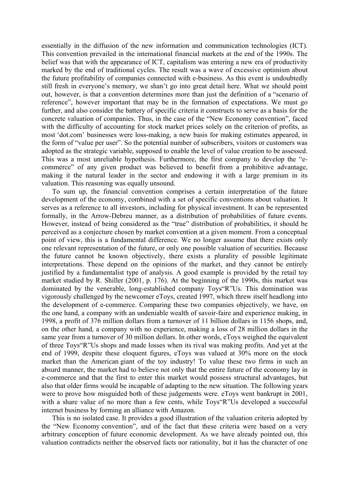essentially in the diffusion of the new information and communication technologies (ICT). This convention prevailed in the international financial markets at the end of the 1990s. The belief was that with the appearance of ICT, capitalism was entering a new era of productivity marked by the end of traditional cycles. The result was a wave of excessive optimism about the future profitability of companies connected with e-business. As this event is undoubtedly still fresh in everyone's memory, we shan't go into great detail here. What we should point out, however, is that a convention determines more than just the definition of a "scenario of reference", however important that may be in the formation of expectations. We must go further, and also consider the battery of specific criteria it constructs to serve as a basis for the concrete valuation of companies. Thus, in the case of the "New Economy convention", faced with the difficulty of accounting for stock market prices solely on the criterion of profits, as most 'dot.com' businesses were loss-making, a new basis for making estimates appeared, in the form of "value per user". So the potential number of subscribers, visitors or customers was adopted as the strategic variable, supposed to enable the level of value creation to be assessed. This was a most unreliable hypothesis. Furthermore, the first company to develop the "ecommerce" of any given product was believed to benefit from a prohibitive advantage, making it the natural leader in the sector and endowing it with a large premium in its valuation. This reasoning was equally unsound.

 To sum up, the financial convention comprises a certain interpretation of the future development of the economy, combined with a set of specific conventions about valuation. It serves as a reference to all investors, including for physical investment. It can be represented formally, in the Arrow-Debreu manner, as a distribution of probabilities of future events. However, instead of being considered as the "true" distribution of probabilities, it should be perceived as a conjecture chosen by market convention at a given moment. From a conceptual point of view, this is a fundamental difference. We no longer assume that there exists only one relevant representation of the future, or only one possible valuation of securities. Because the future cannot be known objectively, there exists a plurality of possible legitimate interpretations. These depend on the opinions of the market, and they cannot be entirely justified by a fundamentalist type of analysis. A good example is provided by the retail toy market studied by R. Shiller (2001, p. 176). At the beginning of the 1990s, this market was dominated by the venerable, long-established company Toys"R"Us. This domination was vigorously challenged by the newcomer eToys, created 1997, which threw itself headlong into the development of e-commerce. Comparing these two companies objectively, we have, on the one hand, a company with an undeniable wealth of savoir-faire and experience making, in 1998, a profit of 376 million dollars from a turnover of 11 billion dollars in 1156 shops, and, on the other hand, a company with no experience, making a loss of 28 million dollars in the same year from a turnover of 30 million dollars. In other words, eToys weighed the equivalent of three Toys"R"Us shops and made losses when its rival was making profits. And yet at the end of 1999, despite these eloquent figures, eToys was valued at 30% more on the stock market than the American giant of the toy industry! To value these two firms in such an absurd manner, the market had to believe not only that the entire future of the economy lay in e-commerce and that the first to enter this market would possess structural advantages, but also that older firms would be incapable of adapting to the new situation. The following years were to prove how misguided both of these judgements were. eToys went bankrupt in 2001, with a share value of no more than a few cents, while Toys"R"Us developed a successful internet business by forming an alliance with Amazon.

 This is no isolated case. It provides a good illustration of the valuation criteria adopted by the "New Economy convention", and of the fact that these criteria were based on a very arbitrary conception of future economic development. As we have already pointed out, this valuation contradicts neither the observed facts nor rationality, but it has the character of one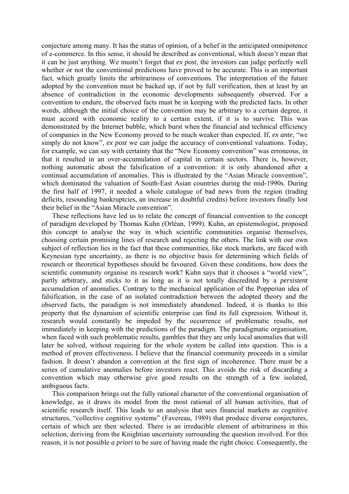conjecture among many. It has the status of opinion, of a belief in the anticipated omnipotence of e-commerce. In this sense, it should be described as conventional, which doesn't mean that it can be just anything. We mustn't forget that *ex post*, the investors can judge perfectly well whether or not the conventional predictions have proved to be accurate. This is an important fact, which greatly limits the arbitrariness of conventions. The interpretation of the future adopted by the convention must be backed up, if not by full verification, then at least by an absence of contradiction in the economic developments subsequently observed. For a convention to endure, the observed facts must be in keeping with the predicted facts. In other words, although the initial choice of the convention may be arbitrary to a certain degree, it must accord with economic reality to a certain extent, if it is to survive. This was demonstrated by the Internet bubble, which burst when the financial and technical efficiency of companies in the New Economy proved to be much weaker than expected. If, *ex ante*, "we simply do not know", *ex post* we can judge the accuracy of conventional valuations. Today, for example, we can say with certainty that the "New Economy convention" was erroneous, in that it resulted in an over-accumulation of capital in certain sectors. There is, however, nothing automatic about the falsification of a convention: it is only abandoned after a continual accumulation of anomalies. This is illustrated by the "Asian Miracle convention", which dominated the valuation of South-East Asian countries during the mid-1990s. During the first half of 1997, it needed a whole catalogue of bad news from the region (trading deficits, resounding bankruptcies, an increase in doubtful credits) before investors finally lost their belief in the "Asian Miracle convention".

 These reflections have led us to relate the concept of financial convention to the concept of paradigm developed by Thomas Kuhn (Orléan, 1999). Kuhn, an epistemologist, proposed this concept to analyse the way in which scientific communities organise themselves, choosing certain promising lines of research and rejecting the others. The link with our own subject of reflection lies in the fact that these communities, like stock markets, are faced with Keynesian type uncertainty, as there is no objective basis for determining which fields of research or theoretical hypotheses should be favoured. Given these conditions, how does the scientific community organise its research work? Kuhn says that it chooses a "world view", partly arbitrary, and sticks to it as long as it is not totally discredited by a *persistent* accumulation of anomalies. Contrary to the mechanical application of the Popperian idea of falsification, in the case of an isolated contradiction between the adopted theory and the observed facts, the paradigm is not immediately abandoned. Indeed, it is thanks to this property that the dynamism of scientific enterprise can find its full expression. Without it, research would constantly be impeded by the occurrence of problematic results, not immediately in keeping with the predictions of the paradigm. The paradigmatic organisation, when faced with such problematic results, gambles that they are only local anomalies that will later be solved, without requiring for the whole system be called into question. This is a method of proven effectiveness. I believe that the financial community proceeds in a similar fashion. It doesn't abandon a convention at the first sign of incoherence. There must be a series of cumulative anomalies before investors react. This avoids the risk of discarding a convention which may otherwise give good results on the strength of a few isolated, ambiguous facts.

 This comparison brings out the fully rational character of the conventional organisation of knowledge, as it draws its model from the most rational of all human activities, that of scientific research itself. This leads to an analysis that sees financial markets as cognitive structures, "collective cognitive systems" (Favereau, 1989) that produce diverse conjectures, certain of which are then selected. There is an irreducible element of arbitrariness in this selection, deriving from the Knightian uncertainty surrounding the question involved. For this reason, it is not possible *a priori* to be sure of having made the right choice. Consequently, the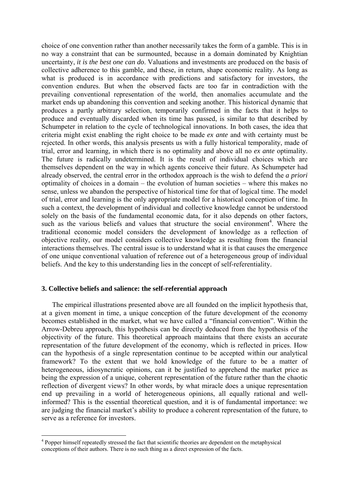choice of one convention rather than another necessarily takes the form of a gamble. This is in no way a constraint that can be surmounted, because in a domain dominated by Knightian uncertainty, *it is the best one can do*. Valuations and investments are produced on the basis of collective adherence to this gamble, and these, in return, shape economic reality. As long as what is produced is in accordance with predictions and satisfactory for investors, the convention endures. But when the observed facts are too far in contradiction with the prevailing conventional representation of the world, then anomalies accumulate and the market ends up abandoning this convention and seeking another. This historical dynamic that produces a partly arbitrary selection, temporarily confirmed in the facts that it helps to produce and eventually discarded when its time has passed, is similar to that described by Schumpeter in relation to the cycle of technological innovations. In both cases, the idea that criteria might exist enabling the right choice to be made *ex ante* and with certainty must be rejected. In other words, this analysis presents us with a fully historical temporality, made of trial, error and learning, in which there is no optimality and above all no *ex ante* optimality. The future is radically undetermined. It is the result of individual choices which are themselves dependent on the way in which agents conceive their future. As Schumpeter had already observed, the central error in the orthodox approach is the wish to defend the *a priori*  optimality of choices in a domain – the evolution of human societies – where this makes no sense, unless we abandon the perspective of historical time for that of logical time. The model of trial, error and learning is the only appropriate model for a historical conception of time. In such a context, the development of individual and collective knowledge cannot be understood solely on the basis of the fundamental economic data, for it also depends on other factors, such as the various beliefs and values that structure the social environment<sup>4</sup>. Where the traditional economic model considers the development of knowledge as a reflection of objective reality, our model considers collective knowledge as resulting from the financial interactions themselves. The central issue is to understand what it is that causes the emergence of one unique conventional valuation of reference out of a heterogeneous group of individual beliefs. And the key to this understanding lies in the concept of self-referentiality.

# **3. Collective beliefs and salience: the self-referential approach**

 The empirical illustrations presented above are all founded on the implicit hypothesis that, at a given moment in time, a unique conception of the future development of the economy becomes established in the market, what we have called a "financial convention". Within the Arrow-Debreu approach, this hypothesis can be directly deduced from the hypothesis of the objectivity of the future. This theoretical approach maintains that there exists an accurate representation of the future development of the economy, which is reflected in prices. How can the hypothesis of a single representation continue to be accepted within our analytical framework? To the extent that we hold knowledge of the future to be a matter of heterogeneous, idiosyncratic opinions, can it be justified to apprehend the market price as being the expression of a unique, coherent representation of the future rather than the chaotic reflection of divergent views? In other words, by what miracle does a unique representation end up prevailing in a world of heterogeneous opinions, all equally rational and wellinformed? This is the essential theoretical question, and it is of fundamental importance: we are judging the financial market's ability to produce a coherent representation of the future, to serve as a reference for investors.

1

<sup>&</sup>lt;sup>4</sup> Popper himself repeatedly stressed the fact that scientific theories are dependent on the metaphysical conceptions of their authors. There is no such thing as a direct expression of the facts.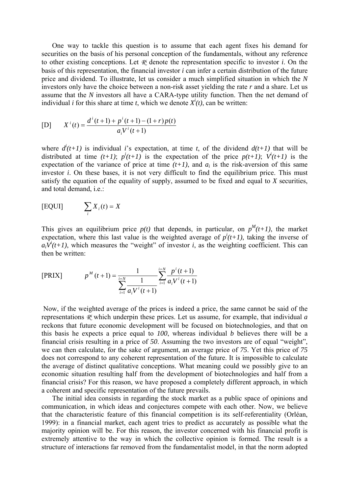One way to tackle this question is to assume that each agent fixes his demand for securities on the basis of his personal conception of the fundamentals, without any reference to other existing conceptions. Let *Ri* denote the representation specific to investor *i*. On the basis of this representation, the financial investor *i* can infer a certain distribution of the future price and dividend. To illustrate, let us consider a much simplified situation in which the *N* investors only have the choice between a non-risk asset yielding the rate *r* and a share. Let us assume that the *N* investors all have a CARA-type utility function. Then the net demand of individual *i* for this share at time *t*, which we denote  $X^i(t)$ , can be written:

[D] 
$$
X^{i}(t) = \frac{d^{i}(t+1) + p^{i}(t+1) - (1+r)p(t)}{a_{i}V^{i}(t+1)}
$$

where  $d^{i}(t+1)$  is individual *i*'s expectation, at time *t*, of the dividend  $d(t+1)$  that will be distributed at time  $(t+1)$ ;  $p^{i}(t+1)$  is the expectation of the price  $p(t+1)$ ;  $V^{i}(t+1)$  is the expectation of the variance of price at time  $(t+1)$ , and  $a_i$  is the risk-aversion of this same investor *i*. On these bases, it is not very difficult to find the equilibrium price. This must satisfy the equation of the equality of supply, assumed to be fixed and equal to *X* securities, and total demand, i.e.:

$$
[{\rm EQUI}] \qquad \sum_{i} X_{i}(t) = X
$$

This gives an equilibrium price  $p(t)$  that depends, in particular, on  $p^{M}(t+1)$ , the market expectation, where this last value is the weighted average of  $p^{i}(t+1)$ , taking the inverse of  $a_i V^i(t+1)$ , which measures the "weight" of investor *i*, as the weighting coefficient. This can then be written:

[PRIX] 
$$
p^{M}(t+1) = \frac{1}{\sum_{i=1}^{i=N} \frac{1}{a_i V^i(t+1)}} \sum_{i=1}^{i=N} \frac{p^{i}(t+1)}{a_i V^i(t+1)}
$$

 Now, if the weighted average of the prices is indeed a price, the same cannot be said of the representations *Ri* which underpin these prices. Let us assume, for example, that individual *a* reckons that future economic development will be focused on biotechnologies, and that on this basis he expects a price equal to *100*, whereas individual *b* believes there will be a financial crisis resulting in a price of *50*. Assuming the two investors are of equal "weight", we can then calculate, for the sake of argument, an average price of *75*. Yet this price of *75* does not correspond to any coherent representation of the future. It is impossible to calculate the average of distinct qualitative conceptions. What meaning could we possibly give to an economic situation resulting half from the development of biotechnologies and half from a financial crisis? For this reason, we have proposed a completely different approach, in which a coherent and specific representation of the future prevails.

 The initial idea consists in regarding the stock market as a public space of opinions and communication, in which ideas and conjectures compete with each other. Now, we believe that the characteristic feature of this financial competition is its self-referentiality (Orléan, 1999): in a financial market, each agent tries to predict as accurately as possible what the majority opinion will be. For this reason, the investor concerned with his financial profit is extremely attentive to the way in which the collective opinion is formed. The result is a structure of interactions far removed from the fundamentalist model, in that the norm adopted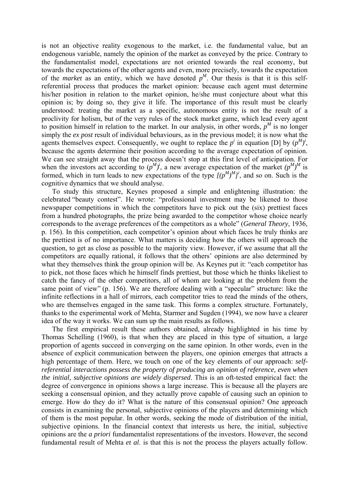is not an objective reality exogenous to the market, i.e. the fundamental value, but an endogenous variable, namely the opinion of the market as conveyed by the price. Contrary to the fundamentalist model, expectations are not oriented towards the real economy, but towards the expectations of the other agents and even, more precisely, towards the expectation of the *market* as an entity, which we have denoted  $p^M$ . Our thesis is that it is this selfreferential process that produces the market opinion: because each agent must determine his/her position in relation to the market opinion, he/she must conjecture about what this opinion is; by doing so, they give it life. The importance of this result must be clearly understood: treating the market as a specific, autonomous entity is not the result of a proclivity for holism, but of the very rules of the stock market game, which lead every agent to position himself in relation to the market. In our analysis, in other words,  $p^M$  is no longer simply the *ex post* result of individual behaviours, as in the previous model; it is now what the agents themselves expect. Consequently, we ought to replace the  $p^i$  in equation [D] by  $(p^M)^i$ , because the agents determine their position according to the average expectation of opinion. We can see straight away that the process doesn't stop at this first level of anticipation. For when the investors act according to  $(p^M)^i$ , a new average expectation of the market  $(p^M)^M$  is formed, which in turn leads to new expectations of the type  $[(p^M)^M]^i$ , and so on. Such is the cognitive dynamics that we should analyse.

 To study this structure, Keynes proposed a simple and enlightening illustration: the celebrated "beauty contest". He wrote: "professional investment may be likened to those newspaper competitions in which the competitors have to pick out the (six) prettiest faces from a hundred photographs, the prize being awarded to the competitor whose choice nearly corresponds to the average preferences of the competitors as a whole" (*General Theory*, 1936, p. 156). In this competition, each competitor's opinion about which faces he truly thinks are the prettiest is of no importance. What matters is deciding how the others will approach the question, to get as close as possible to the majority view. However, if we assume that all the competitors are equally rational, it follows that the others' opinions are also determined by what they themselves think the group opinion will be. As Keynes put it: "each competitor has to pick, not those faces which he himself finds prettiest, but those which he thinks likeliest to catch the fancy of the other competitors, all of whom are looking at the problem from the same point of view" (p. 156). We are therefore dealing with a "specular" structure: like the infinite reflections in a hall of mirrors, each competitor tries to read the minds of the others, who are themselves engaged in the same task. This forms a complex structure. Fortunately, thanks to the experimental work of Mehta, Starmer and Sugden (1994), we now have a clearer idea of the way it works. We can sum up the main results as follows.

 The first empirical result these authors obtained, already highlighted in his time by Thomas Schelling (1960), is that when they are placed in this type of situation, a large proportion of agents succeed in converging on the same opinion. In other words, even in the absence of explicit communication between the players, one opinion emerges that attracts a high percentage of them. Here, we touch on one of the key elements of our approach: *selfreferential interactions possess the property of producing an opinion of reference, even when the initial, subjective opinions are widely dispersed*. This is an oft-tested empirical fact: the degree of convergence in opinions shows a large increase. This is because all the players are seeking a consensual opinion, and they actually prove capable of causing such an opinion to emerge. How do they do it? What is the nature of this consensual opinion? One approach consists in examining the personal, subjective opinions of the players and determining which of them is the most popular. In other words, seeking the mode of distribution of the initial, subjective opinions. In the financial context that interests us here, the initial, subjective opinions are the *a priori* fundamentalist representations of the investors. However, the second fundamental result of Mehta *et al*. is that this is not the process the players actually follow.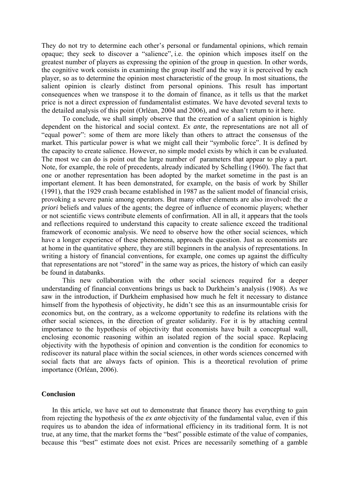They do not try to determine each other's personal or fundamental opinions, which remain opaque; they seek to discover a "salience", i.e. the opinion which imposes itself on the greatest number of players as expressing the opinion of the group in question. In other words, the cognitive work consists in examining the group itself and the way it is perceived by each player, so as to determine the opinion most characteristic of the group. In most situations, the salient opinion is clearly distinct from personal opinions. This result has important consequences when we transpose it to the domain of finance, as it tells us that the market price is not a direct expression of fundamentalist estimates. We have devoted several texts to the detailed analysis of this point (Orléan, 2004 and 2006), and we shan't return to it here.

 To conclude, we shall simply observe that the creation of a salient opinion is highly dependent on the historical and social context. *Ex ante*, the representations are not all of "equal power": some of them are more likely than others to attract the consensus of the market. This particular power is what we might call their "symbolic force". It is defined by the capacity to create salience. However, no simple model exists by which it can be evaluated. The most we can do is point out the large number of parameters that appear to play a part. Note, for example, the role of precedents, already indicated by Schelling (1960). The fact that one or another representation has been adopted by the market sometime in the past is an important element. It has been demonstrated, for example, on the basis of work by Shiller (1991), that the 1929 crash became established in 1987 as the salient model of financial crisis, provoking a severe panic among operators. But many other elements are also involved: the *a priori* beliefs and values of the agents; the degree of influence of economic players; whether or not scientific views contribute elements of confirmation. All in all, it appears that the tools and reflections required to understand this capacity to create salience exceed the traditional framework of economic analysis. We need to observe how the other social sciences, which have a longer experience of these phenomena, approach the question. Just as economists are at home in the quantitative sphere, they are still beginners in the analysis of representations. In writing a history of financial conventions, for example, one comes up against the difficulty that representations are not "stored" in the same way as prices, the history of which can easily be found in databanks.

 This new collaboration with the other social sciences required for a deeper understanding of financial conventions brings us back to Durkheim's analysis (1908). As we saw in the introduction, if Durkheim emphasised how much he felt it necessary to distance himself from the hypothesis of objectivity, he didn't see this as an insurmountable crisis for economics but, on the contrary, as a welcome opportunity to redefine its relations with the other social sciences, in the direction of greater solidarity. For it is by attaching central importance to the hypothesis of objectivity that economists have built a conceptual wall, enclosing economic reasoning within an isolated region of the social space. Replacing objectivity with the hypothesis of opinion and convention is the condition for economics to rediscover its natural place within the social sciences, in other words sciences concerned with social facts that are always facts of opinion. This is a theoretical revolution of prime importance (Orléan, 2006).

# **Conclusion**

 In this article, we have set out to demonstrate that finance theory has everything to gain from rejecting the hypothesis of the *ex ante* objectivity of the fundamental value, even if this requires us to abandon the idea of informational efficiency in its traditional form. It is not true, at any time, that the market forms the "best" possible estimate of the value of companies, because this "best" estimate does not exist. Prices are necessarily something of a gamble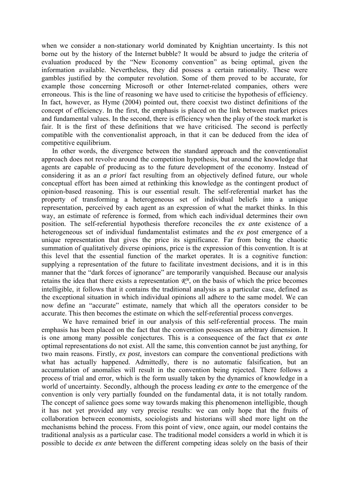when we consider a non-stationary world dominated by Knightian uncertainty. Is this not borne out by the history of the Internet bubble? It would be absurd to judge the criteria of evaluation produced by the "New Economy convention" as being optimal, given the information available. Nevertheless, they did possess a certain rationality. These were gambles justified by the computer revolution. Some of them proved to be accurate, for example those concerning Microsoft or other Internet-related companies, others were erroneous. This is the line of reasoning we have used to criticise the hypothesis of efficiency. In fact, however, as Hyme (2004) pointed out, there coexist two distinct definitions of the concept of efficiency. In the first, the emphasis is placed on the link between market prices and fundamental values. In the second, there is efficiency when the play of the stock market is fair. It is the first of these definitions that we have criticised. The second is perfectly compatible with the conventionalist approach, in that it can be deduced from the idea of competitive equilibrium.

 In other words, the divergence between the standard approach and the conventionalist approach does not revolve around the competition hypothesis, but around the knowledge that agents are capable of producing as to the future development of the economy. Instead of considering it as an *a priori* fact resulting from an objectively defined future, our whole conceptual effort has been aimed at rethinking this knowledge as the contingent product of opinion-based reasoning. This is our essential result. The self-referential market has the property of transforming a heterogeneous set of individual beliefs into a unique representation, perceived by each agent as an expression of what the market thinks. In this way, an estimate of reference is formed, from which each individual determines their own position. The self-referential hypothesis therefore reconciles the *ex ante* existence of a heterogeneous set of individual fundamentalist estimates and the *ex post* emergence of a unique representation that gives the price its significance. Far from being the chaotic summation of qualitatively diverse opinions, price is the expression of this convention. It is at this level that the essential function of the market operates. It is a cognitive function: supplying a representation of the future to facilitate investment decisions, and it is in this manner that the "dark forces of ignorance" are temporarily vanquished. Because our analysis retains the idea that there exists a representation  $\mathbb{R}^{\mathcal{M}}$ , on the basis of which the price becomes intelligible, it follows that it contains the traditional analysis as a particular case, defined as the exceptional situation in which individual opinions all adhere to the same model. We can now define an "accurate" estimate, namely that which all the operators consider to be accurate. This then becomes the estimate on which the self-referential process converges.

 We have remained brief in our analysis of this self-referential process. The main emphasis has been placed on the fact that the convention possesses an arbitrary dimension. It is one among many possible conjectures. This is a consequence of the fact that *ex ante* optimal representations do not exist. All the same, this convention cannot be just anything, for two main reasons. Firstly, *ex post*, investors can compare the conventional predictions with what has actually happened. Admittedly, there is no automatic falsification, but an accumulation of anomalies will result in the convention being rejected. There follows a process of trial and error, which is the form usually taken by the dynamics of knowledge in a world of uncertainty. Secondly, although the process leading *ex ante* to the emergence of the convention is only very partially founded on the fundamental data, it is not totally random. The concept of salience goes some way towards making this phenomenon intelligible, though it has not yet provided any very precise results: we can only hope that the fruits of collaboration between economists, sociologists and historians will shed more light on the mechanisms behind the process. From this point of view, once again, our model contains the traditional analysis as a particular case. The traditional model considers a world in which it is possible to decide *ex ante* between the different competing ideas solely on the basis of their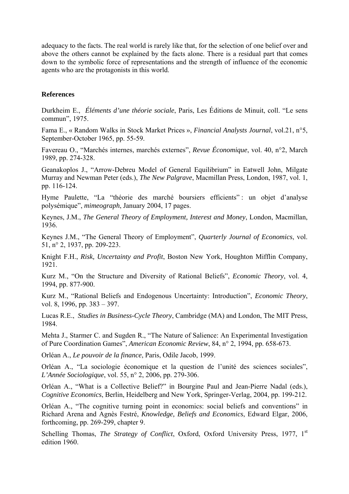adequacy to the facts. The real world is rarely like that, for the selection of one belief over and above the others cannot be explained by the facts alone. There is a residual part that comes down to the symbolic force of representations and the strength of influence of the economic agents who are the protagonists in this world.

# **References**

Durkheim E., *Éléments d'une théorie sociale*, Paris, Les Éditions de Minuit, coll. "Le sens commun", 1975.

Fama E., « Random Walks in Stock Market Prices », *Financial Analysts Journal*, vol.21, n°5, September-October 1965, pp. 55-59.

Favereau O., "Marchés internes, marchés externes", *Revue Économique*, vol. 40, n°2, March 1989, pp. 274-328.

Geanakoplos J., "Arrow-Debreu Model of General Equilibrium" in Eatwell John, Milgate Murray and Newman Peter (eds.), *The New Palgrave*, Macmillan Press, London, 1987, vol. 1, pp. 116-124.

Hyme Paulette, "La "théorie des marché boursiers efficients" : un objet d'analyse polysémique", *mimeograph*, January 2004, 17 pages.

Keynes, J.M., *The General Theory of Employment, Interest and Money*, London, Macmillan, 1936.

Keynes J.M., "The General Theory of Employment", *Quarterly Journal of Economics*, vol. 51, n° 2, 1937, pp. 209-223.

Knight F.H., *Risk, Uncertainty and Profit*, Boston New York, Houghton Mifflin Company, 1921.

Kurz M., "On the Structure and Diversity of Rational Beliefs", *Economic Theory*, vol. 4, 1994, pp. 877-900.

Kurz M., "Rational Beliefs and Endogenous Uncertainty: Introduction", *Economic Theory*, vol. 8, 1996, pp. 383 – 397.

Lucas R.E., *Studies in Business-Cycle Theory*, Cambridge (MA) and London, The MIT Press, 1984.

Mehta J., Starmer C. and Sugden R., "The Nature of Salience: An Experimental Investigation of Pure Coordination Games", *American Economic Review*, 84, n° 2, 1994, pp. 658-673.

Orléan A., *Le pouvoir de la finance*, Paris, Odile Jacob, 1999.

Orléan A., "La sociologie économique et la question de l'unité des sciences sociales", *L'Année Sociologique*, vol. 55, n° 2, 2006, pp. 279-306.

Orléan A., "What is a Collective Belief?" in Bourgine Paul and Jean-Pierre Nadal (eds.), *Cognitive Economics*, Berlin, Heidelberg and New York, Springer-Verlag, 2004, pp. 199-212.

Orléan A., "The cognitive turning point in economics: social beliefs and conventions" in Richard Arena and Agnès Festré, *Knowledge, Beliefs and Economics*, Edward Elgar, 2006, forthcoming, pp. 269-299, chapter 9.

Schelling Thomas, *The Strategy of Conflict*, Oxford, Oxford University Press, 1977, 1<sup>st</sup> edition 1960.